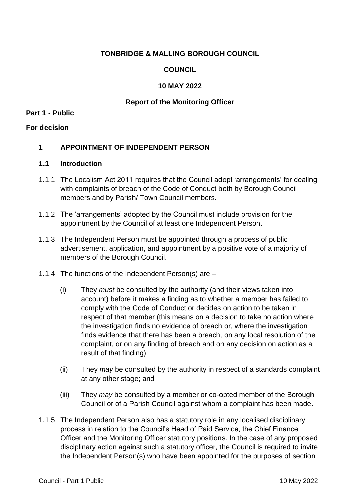### **TONBRIDGE & MALLING BOROUGH COUNCIL**

# **COUNCIL**

### **10 MAY 2022**

### **Report of the Monitoring Officer**

#### **Part 1 - Public**

### **For decision**

### **1 APPOINTMENT OF INDEPENDENT PERSON**

### **1.1 Introduction**

- 1.1.1 The Localism Act 2011 requires that the Council adopt 'arrangements' for dealing with complaints of breach of the Code of Conduct both by Borough Council members and by Parish/ Town Council members.
- 1.1.2 The 'arrangements' adopted by the Council must include provision for the appointment by the Council of at least one Independent Person.
- 1.1.3 The Independent Person must be appointed through a process of public advertisement, application, and appointment by a positive vote of a majority of members of the Borough Council.
- 1.1.4 The functions of the Independent Person(s) are
	- (i) They *must* be consulted by the authority (and their views taken into account) before it makes a finding as to whether a member has failed to comply with the Code of Conduct or decides on action to be taken in respect of that member (this means on a decision to take no action where the investigation finds no evidence of breach or, where the investigation finds evidence that there has been a breach, on any local resolution of the complaint, or on any finding of breach and on any decision on action as a result of that finding);
	- (ii) They *may* be consulted by the authority in respect of a standards complaint at any other stage; and
	- (iii) They *may* be consulted by a member or co-opted member of the Borough Council or of a Parish Council against whom a complaint has been made.
- 1.1.5 The Independent Person also has a statutory role in any localised disciplinary process in relation to the Council's Head of Paid Service, the Chief Finance Officer and the Monitoring Officer statutory positions. In the case of any proposed disciplinary action against such a statutory officer, the Council is required to invite the Independent Person(s) who have been appointed for the purposes of section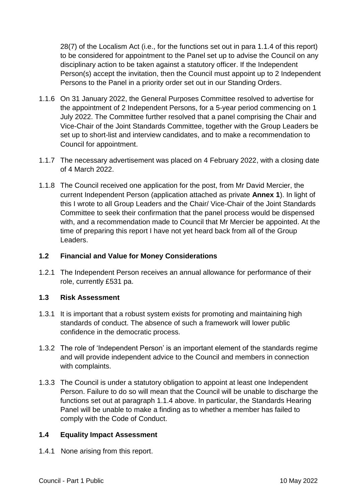28(7) of the Localism Act (i.e., for the functions set out in para 1.1.4 of this report) to be considered for appointment to the Panel set up to advise the Council on any disciplinary action to be taken against a statutory officer. If the Independent Person(s) accept the invitation, then the Council must appoint up to 2 Independent Persons to the Panel in a priority order set out in our Standing Orders.

- 1.1.6 On 31 January 2022, the General Purposes Committee resolved to advertise for the appointment of 2 Independent Persons, for a 5-year period commencing on 1 July 2022. The Committee further resolved that a panel comprising the Chair and Vice-Chair of the Joint Standards Committee, together with the Group Leaders be set up to short-list and interview candidates, and to make a recommendation to Council for appointment.
- 1.1.7 The necessary advertisement was placed on 4 February 2022, with a closing date of 4 March 2022.
- 1.1.8 The Council received one application for the post, from Mr David Mercier, the current Independent Person (application attached as private **Annex 1**). In light of this I wrote to all Group Leaders and the Chair/ Vice-Chair of the Joint Standards Committee to seek their confirmation that the panel process would be dispensed with, and a recommendation made to Council that Mr Mercier be appointed. At the time of preparing this report I have not yet heard back from all of the Group Leaders.

# **1.2 Financial and Value for Money Considerations**

1.2.1 The Independent Person receives an annual allowance for performance of their role, currently £531 pa.

# **1.3 Risk Assessment**

- 1.3.1 It is important that a robust system exists for promoting and maintaining high standards of conduct. The absence of such a framework will lower public confidence in the democratic process.
- 1.3.2 The role of 'Independent Person' is an important element of the standards regime and will provide independent advice to the Council and members in connection with complaints.
- 1.3.3 The Council is under a statutory obligation to appoint at least one Independent Person. Failure to do so will mean that the Council will be unable to discharge the functions set out at paragraph 1.1.4 above. In particular, the Standards Hearing Panel will be unable to make a finding as to whether a member has failed to comply with the Code of Conduct.

# **1.4 Equality Impact Assessment**

1.4.1 None arising from this report.